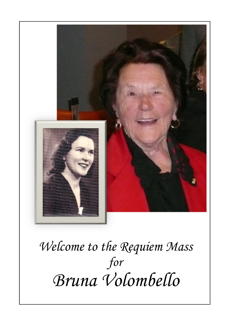

# *Welcome to the Requiem Mass for Bruna Volombello*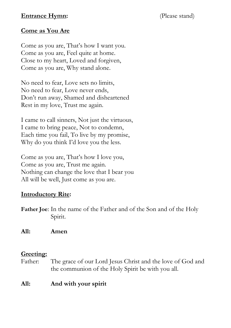#### **Entrance Hymn:** (Please stand)

#### **Come as You Are**

Come as you are, That's how I want you. Come as you are, Feel quite at home. Close to my heart, Loved and forgiven, Come as you are, Why stand alone.

No need to fear, Love sets no limits, No need to fear, Love never ends, Don't run away, Shamed and disheartened Rest in my love, Trust me again.

I came to call sinners, Not just the virtuous, I came to bring peace, Not to condemn, Each time you fail, To live by my promise, Why do you think I'd love you the less.

Come as you are, That's how I love you, Come as you are, Trust me again. Nothing can change the love that I bear you All will be well, Just come as you are.

#### **Introductory Rite:**

**Father Joe**: In the name of the Father and of the Son and of the Holy Spirit.

#### **All: Amen**

#### **Greeting:**

Father: The grace of our Lord Jesus Christ and the love of God and the communion of the Holy Spirit be with you all.

#### **All: And with your spirit**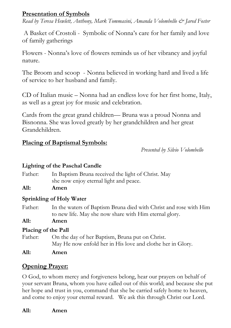#### **Presentation of Symbols**

*Read by Teresa Hewlett, Anthony, Mark Tommasini, Amanda Volombello & Jared Foster*

A Basket of Crostoli - Symbolic of Nonna's care for her family and love of family gatherings

Flowers - Nonna's love of flowers reminds us of her vibrancy and joyful nature.

The Broom and scoop - Nonna believed in working hard and lived a life of service to her husband and family.

CD of Italian music – Nonna had an endless love for her first home, Italy, as well as a great joy for music and celebration.

Cards from the great grand children— Bruna was a proud Nonna and Bisnonna. She was loved greatly by her grandchildren and her great Grandchildren.

#### **Placing of Baptismal Symbols:**

*Presented by Silvio Volombello*

#### **Lighting of the Paschal Candle**

Father: In Baptism Bruna received the light of Christ. May she now enjoy eternal light and peace. **All: Amen**

#### **Sprinkling of Holy Water**

Father: In the waters of Baptism Bruna died with Christ and rose with Him to new life. May she now share with Him eternal glory.

#### **All: Amen**

#### **Placing of the Pall**

- Father: On the day of her Baptism, Bruna put on Christ. May He now enfold her in His love and clothe her in Glory.
- **All: Amen**

### **Opening Prayer:**

O God, to whom mercy and forgiveness belong, hear our prayers on behalf of your servant Bruna, whom you have called out of this world; and because she put her hope and trust in you, command that she be carried safely home to heaven, and come to enjoy your eternal reward. We ask this through Christ our Lord.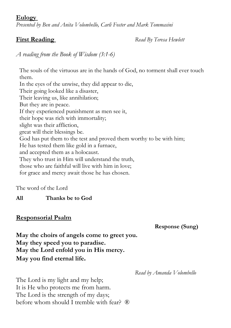#### **Eulogy**

*Presented by Ben and Anita Volombello, Carli Foster and Mark Tommasini*

**First Reading** *Read By Teresa Hewlett*

*A reading from the Book of Wisdom (3:1-6)*

The souls of the virtuous are in the hands of God, no torment shall ever touch them. In the eyes of the unwise, they did appear to die, Their going looked like a disaster, Their leaving us, like annihilation; But they are in peace. If they experienced punishment as men see it, their hope was rich with immortality; slight was their affliction, great will their blessings be. God has put them to the test and proved them worthy to be with him; He has tested them like gold in a furnace, and accepted them as a holocaust. They who trust in Him will understand the truth, those who are faithful will live with him in love; for grace and mercy await those he has chosen.

The word of the Lord

**All Thanks be to God**

#### **Responsorial Psalm**

**Response (Sung)**

**May the choirs of angels come to greet you. May they speed you to paradise. May the Lord enfold you in His mercy. May you find eternal life.**

*Read by Amanda Volombello*

The Lord is my light and my help; It is He who protects me from harm. The Lord is the strength of my days; before whom should I tremble with fear? ®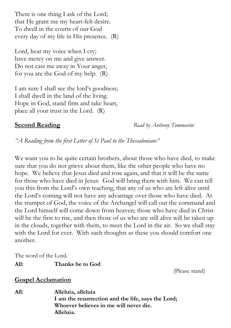There is one thing I ask of the Lord; that He grant me my heart-felt desire. To dwell in the courts of our God every day of my life in His presence. (R)

Lord, hear my voice when I cry; have mercy on me and give answer. Do not cast me away in Your anger, for you are the God of my help. (R)

I am sure I shall see the lord's goodness; I shall dwell in the land of the living. Hope in God, stand firm and take heart, place all your trust in the Lord. (R)

**Second Reading** *Read by Anthony Tommasini* 

*"A Reading from the first Letter of St Paul to the Thessalonians"*

We want you to be quite certain brothers, about those who have died, to make sure that you do not grieve about them, like the other people who have no hope. We believe that Jesus died and rose again, and that it will be the same for those who have died in Jesus: God will bring them with him. We can tell you this from the Lord's own teaching, that any of us who are left alive until the Lord's coming will not have any advantage over those who have died. At the trumpet of God, the voice of the Archangel will call out the command and the Lord himself will come down from heaven; those who have died in Christ will be the first to rise, and then those of us who are still alive will be taken up in the clouds, together with them, to meet the Lord in the air. So we shall stay with the Lord for ever. With such thoughts as these you should comfort one another.

The word of the Lord.

#### **All: Thanks be to God**

(Please stand)

#### **Gospel Acclamation**

**All: Alleluia, alleluia I am the resurrection and the life, says the Lord; Whoever believes in me will never die. Alleluia.**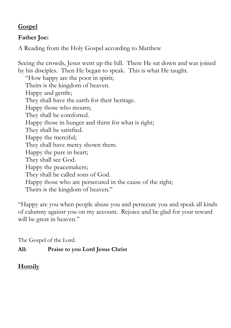#### **Gospel**

### **Father Joe:**

A Reading from the Holy Gospel according to Matthew

Seeing the crowds, Jesus went up the hill. There He sat down and was joined by his disciples. Then He began to speak. This is what He taught. "How happy are the poor in spirit; Theirs is the kingdom of heaven. Happy and gentle; They shall have the earth for their heritage. Happy those who mourn; They shall be comforted. Happy those in hunger and thirst for what is right; They shall be satisfied. Happy the merciful; They shall have mercy shown them. Happy the pure in heart; They shall see God. Happy the peacemakers; They shall be called sons of God. Happy those who are persecuted in the cause of the right; Theirs is the kingdom of heaven."

"Happy are you when people abuse you and persecute you and speak all kinds of calumny against you on my account. Rejoice and be glad for your reward will be great in heaven."

The Gospel of the Lord.

#### **All: Praise to you Lord Jesus Christ**

### **Homily**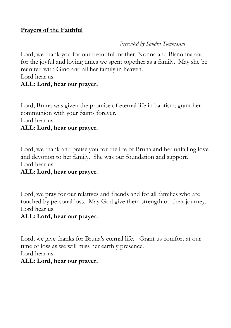#### **Prayers of the Faithful**

*Presented by Sandra Tommasini*

Lord, we thank you for our beautiful mother, Nonna and Bisnonna and for the joyful and loving times we spent together as a family. May she be reunited with Gino and all her family in heaven. Lord hear us.

#### **ALL: Lord, hear our prayer.**

Lord, Bruna was given the promise of eternal life in baptism; grant her communion with your Saints forever.

Lord hear us.

#### **ALL: Lord, hear our prayer.**

Lord, we thank and praise you for the life of Bruna and her unfailing love and devotion to her family. She was our foundation and support. Lord hear us

#### **ALL: Lord, hear our prayer.**

Lord, we pray for our relatives and friends and for all families who are touched by personal loss. May God give them strength on their journey. Lord hear us.

#### **ALL: Lord, hear our prayer.**

Lord, we give thanks for Bruna's eternal life. Grant us comfort at our time of loss as we will miss her earthly presence. Lord hear us.

#### **ALL: Lord, hear our prayer.**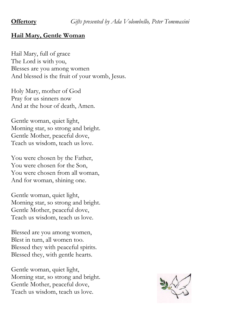#### **Hail Mary, Gentle Woman**

Hail Mary, full of grace The Lord is with you, Blesses are you among women And blessed is the fruit of your womb, Jesus.

Holy Mary, mother of God Pray for us sinners now And at the hour of death, Amen.

Gentle woman, quiet light, Morning star, so strong and bright. Gentle Mother, peaceful dove, Teach us wisdom, teach us love.

You were chosen by the Father, You were chosen for the Son, You were chosen from all woman, And for woman, shining one.

Gentle woman, quiet light, Morning star, so strong and bright. Gentle Mother, peaceful dove, Teach us wisdom, teach us love.

Blessed are you among women, Blest in turn, all women too. Blessed they with peaceful spirits. Blessed they, with gentle hearts.

Gentle woman, quiet light, Morning star, so strong and bright. Gentle Mother, peaceful dove, Teach us wisdom, teach us love.

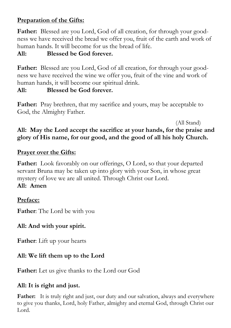### **Preparation of the Gifts:**

Father: Blessed are you Lord, God of all creation, for through your goodness we have received the bread we offer you, fruit of the earth and work of human hands. It will become for us the bread of life.

### **All: Blessed be God forever.**

Father: Blessed are you Lord, God of all creation, for through your goodness we have received the wine we offer you, fruit of the vine and work of human hands, it will become our spiritual drink.

#### **All: Blessed be God forever.**

Father: Pray brethren, that my sacrifice and yours, may be acceptable to God, the Almighty Father.

(All Stand) **All: May the Lord accept the sacrifice at your hands, for the praise and glory of His name, for our good, and the good of all his holy Church.**

#### **Prayer over the Gifts:**

**Father:** Look favorably on our offerings, O Lord, so that your departed servant Bruna may be taken up into glory with your Son, in whose great mystery of love we are all united. Through Christ our Lord. **All: Amen**

#### **Preface:**

**Father**: The Lord be with you

#### **All: And with your spirit.**

**Father**: Lift up your hearts

#### **All: We lift them up to the Lord**

**Father:** Let us give thanks to the Lord our God

#### **All: It is right and just.**

**Father:** It is truly right and just, our duty and our salvation, always and everywhere to give you thanks, Lord, holy Father, almighty and eternal God, through Christ our Lord.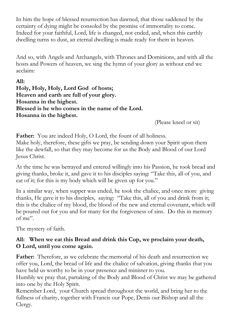In him the hope of blessed resurrection has dawned, that those saddened by the certainty of dying might be consoled by the promise of immortality to come. Indeed for your faithful, Lord, life is changed, not ended, and, when this earthly dwelling turns to dust, an eternal dwelling is made ready for them in heaven.

And so, with Angels and Archangels, with Thrones and Dominions, and with all the hosts and Powers of heaven, we sing the hymn of your glory as without end we acclaim:

**All: Holy, Holy, Holy, Lord God of hosts; Heaven and earth are full of your glory. Hosanna in the highest. Blessed is he who comes in the name of the Lord. Hosanna in the highest.**

(Please kneel or sit)

Father: You are indeed Holy, O Lord, the fount of all holiness. Make holy, therefore, these gifts we pray, be sending down your Spirit upon them like the dewfall, so that they may become for us the Body and Blood of our Lord Jesus Christ.

At the time he was betrayed and entered willingly into his Passion, he took bread and giving thanks, broke it, and gave it to his disciples saying: "Take this, all of you, and eat of it; for this is my body which will be given up for you."

In a similar way, when supper was ended, he took the chalice, and once more giving thanks, He gave it to his disciples, saying: "Take this, all of you and drink from it; this is the chalice of my blood, the blood of the new and eternal covenant, which will be poured out for you and for many for the forgiveness of sins. Do this in memory of me".

The mystery of faith.

#### **All: When we eat this Bread and drink this Cup, we proclaim your death, O Lord, until you come again.**

**Father:** Therefore, as we celebrate the memorial of his death and resurrection we offer you, Lord, the bread of life and the chalice of salvation, giving thanks that you have held us worthy to be in your presence and minister to you.

Humbly we pray that, partaking of the Body and Blood of Christ we may be gathered into one by the Holy Spirit.

Remember Lord, your Church spread throughout the world, and bring her to the fullness of charity, together with Francis our Pope, Denis our Bishop and all the Clergy.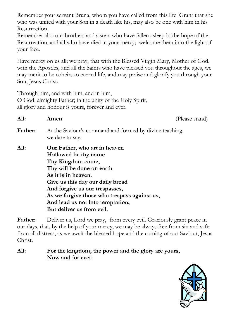Remember your servant Bruna, whom you have called from this life. Grant that she who was united with your Son in a death like his, may also be one with him in his Resurrection.

Remember also our brothers and sisters who have fallen asleep in the hope of the Resurrection, and all who have died in your mercy; welcome them into the light of your face.

Have mercy on us all; we pray, that with the Blessed Virgin Mary, Mother of God, with the Apostles, and all the Saints who have pleased you throughout the ages, we may merit to be coheirs to eternal life, and may praise and glorify you through your Son, Jesus Christ.

Through him, and with him, and in him, O God, almighty Father; in the unity of the Holy Spirit, all glory and honour is yours, forever and ever.

| All:     | Amen                                                                                                                                                                                                                                                                                                                  | (Please stand) |
|----------|-----------------------------------------------------------------------------------------------------------------------------------------------------------------------------------------------------------------------------------------------------------------------------------------------------------------------|----------------|
| Father:  | At the Saviour's command and formed by divine teaching,<br>we dare to say:                                                                                                                                                                                                                                            |                |
| All:     | Our Father, who art in heaven<br>Hallowed be thy name<br>Thy Kingdom come,<br>Thy will be done on earth<br>As it is in heaven.<br>Give us this day our daily bread<br>And forgive us our trespasses,<br>As we forgive those who trespass against us,<br>And lead us not into temptation,<br>But deliver us from evil. |                |
| $Fofher$ | Deliver us Lord we pray from every evil Graciously grapt peace in                                                                                                                                                                                                                                                     |                |

**Father:** Deliver us, Lord we pray, from every evil. Graciously grant peace in our days, that, by the help of your mercy, we may be always free from sin and safe from all distress, as we await the blessed hope and the coming of our Saviour, Jesus Christ.

**All: For the kingdom, the power and the glory are yours, Now and for ever.**

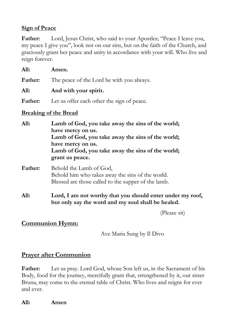#### **Sign of Peace**

Father: Lord, Jesus Christ, who said to your Apostles; "Peace I leave you, my peace I give you", look not on our sins, but on the faith of the Church, and graciously grant her peace and unity in accordance with your will. Who live and reign forever.

| All:           | Amen.                                                     |  |
|----------------|-----------------------------------------------------------|--|
| <b>Father:</b> | The peace of the Lord be with you always.                 |  |
| All:           | And with your spirit.                                     |  |
|                | <b>Father:</b> Let us offer each other the sign of peace. |  |

#### **Breaking of the Bread**

| All:    | Lamb of God, you take away the sins of the world;<br>have mercy on us.<br>Lamb of God, you take away the sins of the world;<br>have mercy on us.<br>Lamb of God, you take away the sins of the world;<br>grant us peace. |  |
|---------|--------------------------------------------------------------------------------------------------------------------------------------------------------------------------------------------------------------------------|--|
| Father: | Behold the Lamb of God,<br>Behold him who takes away the sins of the world.<br>Blessed are those called to the supper of the lamb.                                                                                       |  |
| All:    | Lord, I am not worthy that you should enter under my roof,<br>but only say the word and my soul shall be healed.                                                                                                         |  |

(Please sit)

#### **Communion Hymn:**

Ave Maria Sung by Il Divo

#### **Prayer after Communion**

Father: Let us pray. Lord God, whose Son left us, in the Sacrament of his Body, food for the journey, mercifully grant that, strengthened by it, our sister Bruna, may come to the eternal table of Christ. Who lives and reigns for ever and ever.

**All: Amen**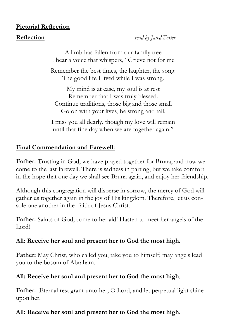#### **Pictorial Reflection**

#### **Reflection** *read by Jared Foster*

A limb has fallen from our family tree I hear a voice that whispers, "Grieve not for me

Remember the best times, the laughter, the song. The good life I lived while I was strong.

My mind is at ease, my soul is at rest Remember that I was truly blessed. Continue traditions, those big and those small Go on with your lives, be strong and tall.

I miss you all dearly, though my love will remain until that fine day when we are together again."

#### **Final Commendation and Farewell:**

Father: Trusting in God, we have prayed together for Bruna, and now we come to the last farewell. There is sadness in parting, but we take comfort in the hope that one day we shall see Bruna again, and enjoy her friendship.

Although this congregation will disperse in sorrow, the mercy of God will gather us together again in the joy of His kingdom. Therefore, let us console one another in the faith of Jesus Christ.

**Father:** Saints of God, come to her aid! Hasten to meet her angels of the Lord!

#### **All: Receive her soul and present her to God the most high**.

**Father:** May Christ, who called you, take you to himself; may angels lead you to the bosom of Abraham.

#### **All: Receive her soul and present her to God the most high**.

**Father:** Eternal rest grant unto her, O Lord, and let perpetual light shine upon her.

#### **All: Receive her soul and present her to God the most high**.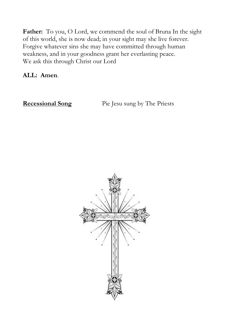**Father:** To you, O Lord, we commend the soul of Bruna In the sight of this world, she is now dead; in your sight may she live forever. Forgive whatever sins she may have committed through human weakness, and in your goodness grant her everlasting peace. We ask this through Christ our Lord

**ALL: Amen**.

**Recessional Song** Pie Jesu sung by The Priests

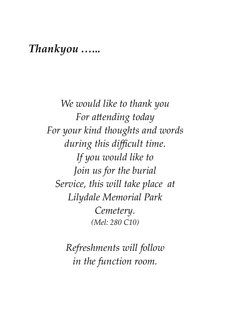## *Thankyou …...*

*We would like to thank you For attending today For your kind thoughts and words during this difficult time. If you would like to Join us for the burial Service, this will take place at Lilydale Memorial Park Cemetery. (Mel: 280 C10)*

> *Refreshments will follow in the function room.*